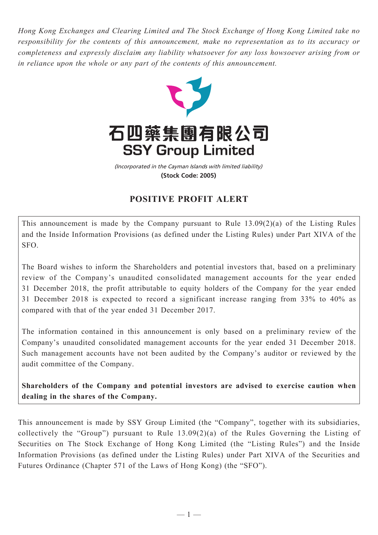*Hong Kong Exchanges and Clearing Limited and The Stock Exchange of Hong Kong Limited take no responsibility for the contents of this announcement, make no representation as to its accuracy or completeness and expressly disclaim any liability whatsoever for any loss howsoever arising from or in reliance upon the whole or any part of the contents of this announcement.*



(Incorporated in the Cayman Islands with limited liability) **(Stock Code: 2005)**

## **POSITIVE PROFIT ALERT**

This announcement is made by the Company pursuant to Rule 13.09(2)(a) of the Listing Rules and the Inside Information Provisions (as defined under the Listing Rules) under Part XIVA of the SFO.

The Board wishes to inform the Shareholders and potential investors that, based on a preliminary review of the Company's unaudited consolidated management accounts for the year ended 31 December 2018, the profit attributable to equity holders of the Company for the year ended 31 December 2018 is expected to record a significant increase ranging from 33% to 40% as compared with that of the year ended 31 December 2017.

The information contained in this announcement is only based on a preliminary review of the Company's unaudited consolidated management accounts for the year ended 31 December 2018. Such management accounts have not been audited by the Company's auditor or reviewed by the audit committee of the Company.

**Shareholders of the Company and potential investors are advised to exercise caution when dealing in the shares of the Company.**

This announcement is made by SSY Group Limited (the "Company", together with its subsidiaries, collectively the "Group") pursuant to Rule 13.09(2)(a) of the Rules Governing the Listing of Securities on The Stock Exchange of Hong Kong Limited (the "Listing Rules") and the Inside Information Provisions (as defined under the Listing Rules) under Part XIVA of the Securities and Futures Ordinance (Chapter 571 of the Laws of Hong Kong) (the "SFO").